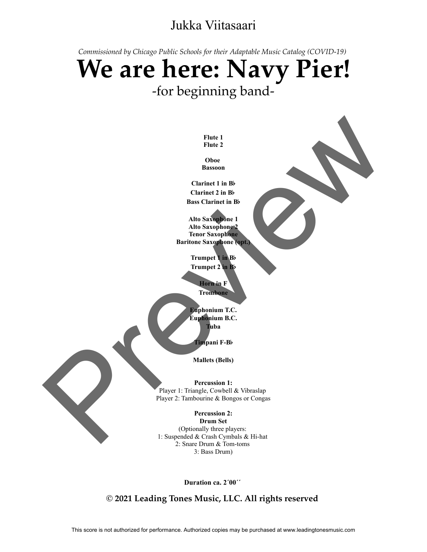## Jukka Viitasaari

*Commissioned by Chicago Public Schools for their Adaptable Music Catalog (COVID-19)* 

## **We are here: Navy Pier!** -for beginning bandfor their Adaptable Music Ca<br>**P: NAVY**<br>nning band-<br>E<sup>lute 1</sup> **P:** Navy mning band-SITTING BOIT<br>
Flute 1<br>
Flute 2<br>
Oboe<br>
Bassoon<br>
Clarinet 1 in Bb

**OboeBassoon**

Flute 1<br>
Flute 2<br>
Oboe<br>
Bassoon<br>
Clarinet 1 in B<sub>b</sub><br>
Clarinet 2 in B<sub>b</sub> Flute 1<br>
Flute 2<br>
Oboe<br>
Bassoon<br>
Clarinet 1 in B<sub>b</sub><br>
Clarinet 2 in B<sub>b</sub><br>
Bass Clarinet in B<sub>b</sub> Flute 1<br>
Flute 2<br>
Oboe<br>
Bassoon<br>
Clarinet 1 in B<sub>b</sub><br>
Clarinet 2 in B<sub>b</sub><br>
Bass Clarinet in B<sub>b</sub> Flute 2<br>
Flute 2<br>
Oboe<br>
Bassoon<br>
Clarinet 1 in B<sub>b</sub><br>
Clarinet 2 in B<sub>b</sub><br>
Bass Clarinet in B<sub>b</sub><br>
Alto Saxophone 1<br>
Alto Saxophone 1

Fille 2<br>
Oboe<br>
Bassoon<br>
Clarinet 1 in B<sub>b</sub><br>
Clarinet 2 in B<sub>b</sub><br>
Sass Clarinet in B<sub>b</sub><br>
Alto Saxophone 1<br>
Alto Saxophone 1<br>
Alto Saxophone 2 **Bassoon**<br>
Clarinet 1 in Bb<br>
Clarinet 2 in Bb<br>
Bass Clarinet in Bb<br>
Alto Saxophone 1<br>
Alto Saxophone 2<br>
Tenor Saxophone 2<br>
Tenor Saxophone 2 **Clarinet 1 in B<sub>b</sub><br>Clarinet 2 in B<sub>b</sub><br>ass Clarinet in Bb<br>ass Clarinet in Bb<br>Alto Saxophone 1<br>Trumpet 1 in Bb**<br>Trumpet 1 in Bb Clarinet 1 in B<sub>b</sub><br>Clarinet 2 in B<sub>b</sub><br>ass Clarinet in B<sub>b</sub><br>ass Clarinet in B<sub>b</sub><br>Itto Saxophone 1<br>Trumpet 2 in B<sub>b</sub><br>Trumpet 2 in B<sub>b</sub> **Clarinet in B<sub>b</sub><br>
Clarinet in B<sub>b</sub><br>
Saxophone 2<br>
or Saxophone<br>
e Saxophone (ept.)<br>
impet 1 in B<sub>b</sub><br>
impet 2 in B<sub>b</sub><br>
Homein F Example 1**<br> **Eulid Saxophone 2**<br> **Euro Saxophone (opt.)**<br> **Frumpet 2** in Bb<br> **Frumpet 2** in Bb<br> **Frombone**<br> **Frombone Euphonium T.C.**<br> **Euphonium T.C.**<br> **Euphonium T.C.**<br> **Euphonium T.C.**<br> **Euphonium T.C.** 

**Trombone** 

**Euphonium B.C.**<br>Tuba **Trumpet 2 in Bb**<br> **The F-Bb**<br> **Trombone**<br> **Trombone**<br> **The F-Bb**<br> **The F-Bb**<br> **The F-Bb Mallets**<br> **Mallets**<br> **Mallets**<br> **Mallets**<br> **Mallets**<br> **Mallets**<br> **Mallets**<br> **Mallets**<br> **Mallets**<br> **Mallets**<br> **Mallets**<br> **Mallets Percussion**<br>**Percussion**<br>**Percussion**<br>**Percussion**<br>**Percussion** 1:

Player 1: Triangle, Cowbell & Vibraslap Player 2: Tambourine & Bongos or Congas **Tuba**<br> **Percussion 1:**<br> **Percussion 1:**<br> **Percussion 1:**<br> **Percussion 2:**<br> **Percussion 2:**<br> **Percussion 2: mpani F-Bb**<br> **allets (Bells)**<br> **ercussion 1:**<br> **gle, Cowbell & Vibraslap<br>
urine & Bongos or Congas<br>
<b>ercussion 2:**<br> **Prum Sct** 

(Optionally three players: 1: Suspended & Crash Cymbals & Hi-hat 2: Snare Drum & Tom-toms 3: Bass Drum) Triangle, Cowbell & Vibraslap<br>
Tambourine & Bongos or Congas<br> **Percussion 2:**<br> **Drum Set**<br>
pptionally three players:<br>
ded & Crash Cymbals & Hi-hat<br>
Share Drum & Tom-toms<br>
3: Bass Drum)<br> **Duration 22.2^00**'' Finde 2<br>
Preview 1<br>
Clarimet 1 in Be<br>
Clarimet 1 in Be<br>
Clarimet 1 in Be<br>
Clarimet 1 in Be<br>
Clarimet 1 in Be<br>
Also Samples 1<br>
Also Samples<br>
Preview 1 is a final strength and the Clarimeter<br>
Preview 1 is a final strength an

**© 2021 Leading Tones Music, LLC. All rights reserved**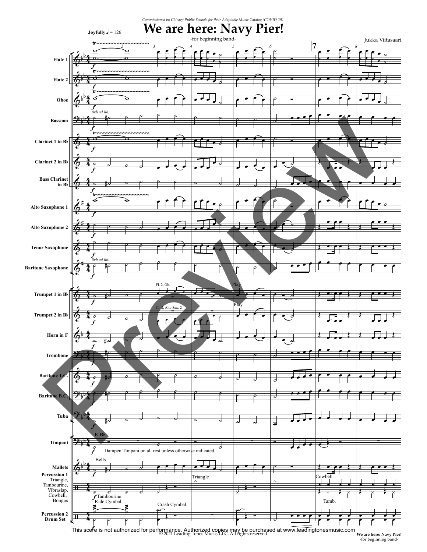

**We are here: Navy Pier!** -for beginning band-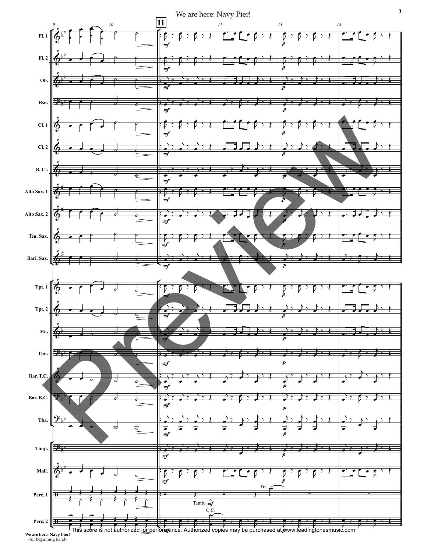



**We are here: Navy Pier!** -for beginning band-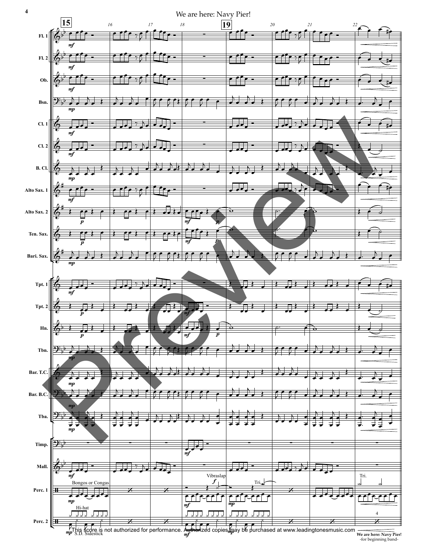

**We are here: Navy Pier!** -for beginning band-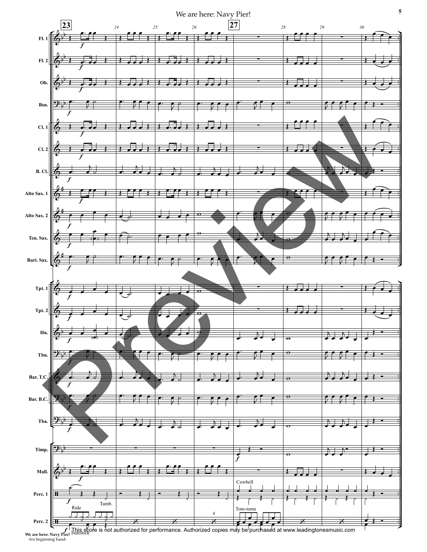



 $f_{\text{erl}}^{\dagger}$  This score is not **We are here: Navy Pier!** -for beginning band-This score is not authorized for performance. Authorized copies may be purchased at www.leadingtonesmusic.com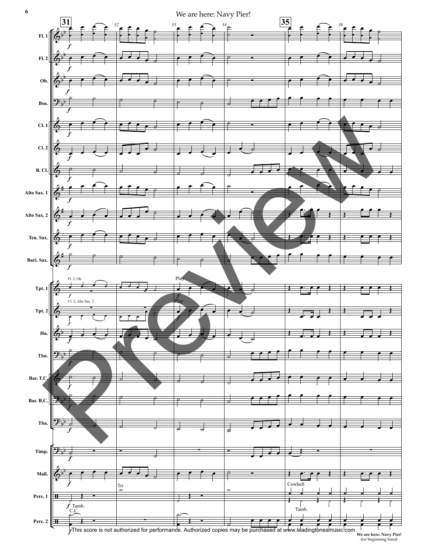

**We are here: Navy Pier!** -for beginning band-